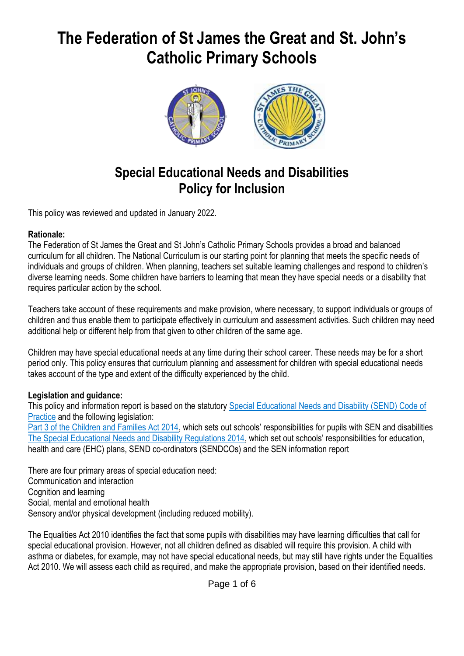# **The Federation of St James the Great and St. John's Catholic Primary Schools**



# **Special Educational Needs and Disabilities Policy for Inclusion**

This policy was reviewed and updated in January 2022.

#### **Rationale:**

The Federation of St James the Great and St John's Catholic Primary Schools provides a broad and balanced curriculum for all children. The National Curriculum is our starting point for planning that meets the specific needs of individuals and groups of children. When planning, teachers set suitable learning challenges and respond to children's diverse learning needs. Some children have barriers to learning that mean they have special needs or a disability that requires particular action by the school.

Teachers take account of these requirements and make provision, where necessary, to support individuals or groups of children and thus enable them to participate effectively in curriculum and assessment activities. Such children may need additional help or different help from that given to other children of the same age.

Children may have special educational needs at any time during their school career. These needs may be for a short period only. This policy ensures that curriculum planning and assessment for children with special educational needs takes account of the type and extent of the difficulty experienced by the child.

#### **Legislation and guidance:**

This policy and information report is based on the statutory [Special Educational Needs and Disability \(SEND\) Code of](https://www.gov.uk/government/uploads/system/uploads/attachment_data/file/398815/SEND_Code_of_Practice_January_2015.pdf)  [Practice](https://www.gov.uk/government/uploads/system/uploads/attachment_data/file/398815/SEND_Code_of_Practice_January_2015.pdf) and the following legislation:

[Part 3 of the Children and Families Act 2014](http://www.legislation.gov.uk/ukpga/2014/6/part/3), which sets out schools' responsibilities for pupils with SEN and disabilities [The Special Educational Needs and Disability Regulations 2014](http://www.legislation.gov.uk/uksi/2014/1530/contents/made), which set out schools' responsibilities for education, health and care (EHC) plans, SEND co-ordinators (SENDCOs) and the SEN information report

There are four primary areas of special education need: Communication and interaction Cognition and learning Social, mental and emotional health Sensory and/or physical development (including reduced mobility).

The Equalities Act 2010 identifies the fact that some pupils with disabilities may have learning difficulties that call for special educational provision. However, not all children defined as disabled will require this provision. A child with asthma or diabetes, for example, may not have special educational needs, but may still have rights under the Equalities Act 2010. We will assess each child as required, and make the appropriate provision, based on their identified needs.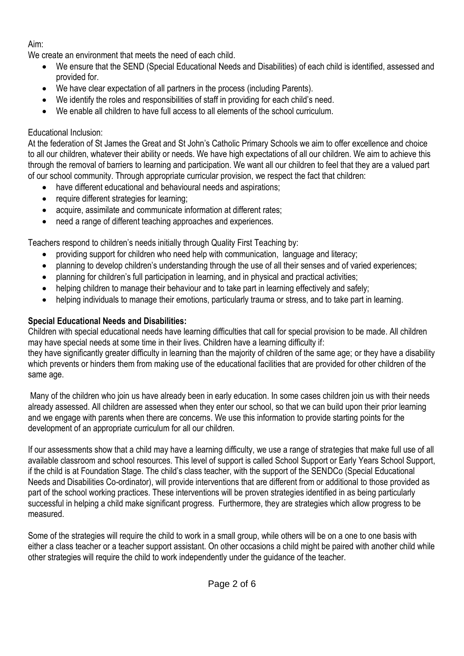# Aim:

We create an environment that meets the need of each child.

- We ensure that the SEND (Special Educational Needs and Disabilities) of each child is identified, assessed and provided for.
- We have clear expectation of all partners in the process (including Parents).
- We identify the roles and responsibilities of staff in providing for each child's need.
- We enable all children to have full access to all elements of the school curriculum.

# Educational Inclusion:

At the federation of St James the Great and St John's Catholic Primary Schools we aim to offer excellence and choice to all our children, whatever their ability or needs. We have high expectations of all our children. We aim to achieve this through the removal of barriers to learning and participation. We want all our children to feel that they are a valued part of our school community. Through appropriate curricular provision, we respect the fact that children:

- have different educational and behavioural needs and aspirations;
- require different strategies for learning;
- acquire, assimilate and communicate information at different rates;
- need a range of different teaching approaches and experiences.

Teachers respond to children's needs initially through Quality First Teaching by:

- providing support for children who need help with communication, language and literacy;
- planning to develop children's understanding through the use of all their senses and of varied experiences;
- planning for children's full participation in learning, and in physical and practical activities;
- helping children to manage their behaviour and to take part in learning effectively and safely;
- helping individuals to manage their emotions, particularly trauma or stress, and to take part in learning.

# **Special Educational Needs and Disabilities:**

Children with special educational needs have learning difficulties that call for special provision to be made. All children may have special needs at some time in their lives. Children have a learning difficulty if:

they have significantly greater difficulty in learning than the majority of children of the same age; or they have a disability which prevents or hinders them from making use of the educational facilities that are provided for other children of the same age.

Many of the children who join us have already been in early education. In some cases children join us with their needs already assessed. All children are assessed when they enter our school, so that we can build upon their prior learning and we engage with parents when there are concerns. We use this information to provide starting points for the development of an appropriate curriculum for all our children.

If our assessments show that a child may have a learning difficulty, we use a range of strategies that make full use of all available classroom and school resources. This level of support is called School Support or Early Years School Support, if the child is at Foundation Stage. The child's class teacher, with the support of the SENDCo (Special Educational Needs and Disabilities Co-ordinator), will provide interventions that are different from or additional to those provided as part of the school working practices. These interventions will be proven strategies identified in as being particularly successful in helping a child make significant progress. Furthermore, they are strategies which allow progress to be measured.

Some of the strategies will require the child to work in a small group, while others will be on a one to one basis with either a class teacher or a teacher support assistant. On other occasions a child might be paired with another child while other strategies will require the child to work independently under the guidance of the teacher.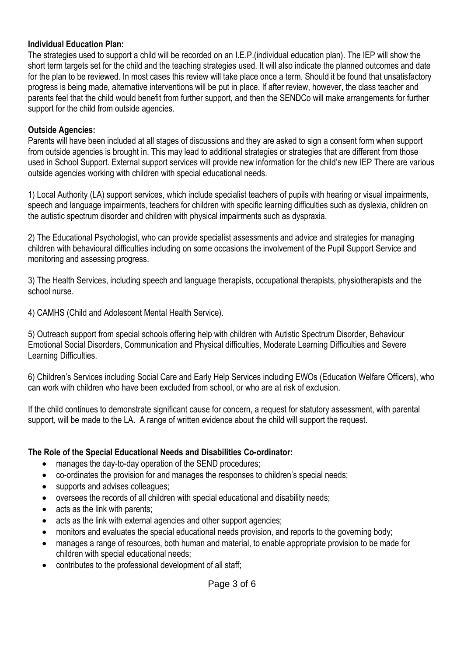#### **Individual Education Plan:**

The strategies used to support a child will be recorded on an I.E.P.(individual education plan). The IEP will show the short term targets set for the child and the teaching strategies used. It will also indicate the planned outcomes and date for the plan to be reviewed. In most cases this review will take place once a term. Should it be found that unsatisfactory progress is being made, alternative interventions will be put in place. If after review, however, the class teacher and parents feel that the child would benefit from further support, and then the SENDCo will make arrangements for further support for the child from outside agencies.

#### **Outside Agencies:**

Parents will have been included at all stages of discussions and they are asked to sign a consent form when support from outside agencies is brought in. This may lead to additional strategies or strategies that are different from those used in School Support. External support services will provide new information for the child's new IEP There are various outside agencies working with children with special educational needs.

1) Local Authority (LA) support services, which include specialist teachers of pupils with hearing or visual impairments, speech and language impairments, teachers for children with specific learning difficulties such as dyslexia, children on the autistic spectrum disorder and children with physical impairments such as dyspraxia.

2) The Educational Psychologist, who can provide specialist assessments and advice and strategies for managing children with behavioural difficulties including on some occasions the involvement of the Pupil Support Service and monitoring and assessing progress.

3) The Health Services, including speech and language therapists, occupational therapists, physiotherapists and the school nurse.

4) CAMHS (Child and Adolescent Mental Health Service).

5) Outreach support from special schools offering help with children with Autistic Spectrum Disorder, Behaviour Emotional Social Disorders, Communication and Physical difficulties, Moderate Learning Difficulties and Severe Learning Difficulties.

6) Children's Services including Social Care and Early Help Services including EWOs (Education Welfare Officers), who can work with children who have been excluded from school, or who are at risk of exclusion.

If the child continues to demonstrate significant cause for concern, a request for statutory assessment, with parental support, will be made to the LA. A range of written evidence about the child will support the request.

#### **The Role of the Special Educational Needs and Disabilities Co-ordinator:**

- manages the day-to-day operation of the SEND procedures;
- co-ordinates the provision for and manages the responses to children's special needs;
- supports and advises colleagues;
- oversees the records of all children with special educational and disability needs;
- acts as the link with parents:
- acts as the link with external agencies and other support agencies;
- monitors and evaluates the special educational needs provision, and reports to the governing body;
- manages a range of resources, both human and material, to enable appropriate provision to be made for children with special educational needs;
- contributes to the professional development of all staff;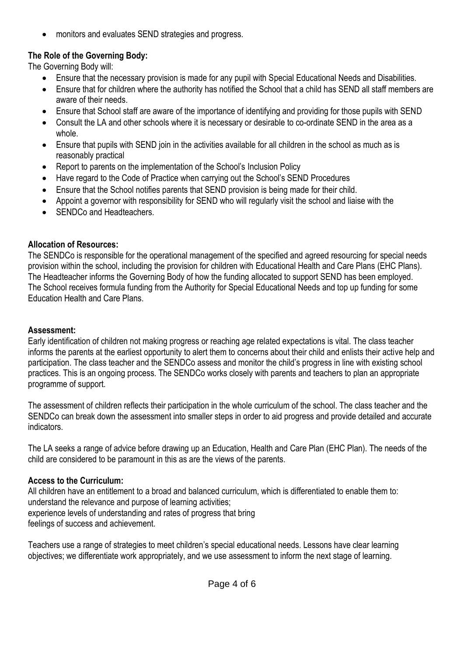• monitors and evaluates SEND strategies and progress.

## **The Role of the Governing Body:**

The Governing Body will:

- Ensure that the necessary provision is made for any pupil with Special Educational Needs and Disabilities.
- Ensure that for children where the authority has notified the School that a child has SEND all staff members are aware of their needs.
- Ensure that School staff are aware of the importance of identifying and providing for those pupils with SEND
- Consult the LA and other schools where it is necessary or desirable to co-ordinate SEND in the area as a whole.
- Ensure that pupils with SEND join in the activities available for all children in the school as much as is reasonably practical
- Report to parents on the implementation of the School's Inclusion Policy
- Have regard to the Code of Practice when carrying out the School's SEND Procedures
- Ensure that the School notifies parents that SEND provision is being made for their child.
- Appoint a governor with responsibility for SEND who will regularly visit the school and liaise with the
- SENDCo and Headteachers.

## **Allocation of Resources:**

The SENDCo is responsible for the operational management of the specified and agreed resourcing for special needs provision within the school, including the provision for children with Educational Health and Care Plans (EHC Plans). The Headteacher informs the Governing Body of how the funding allocated to support SEND has been employed. The School receives formula funding from the Authority for Special Educational Needs and top up funding for some Education Health and Care Plans.

#### **Assessment:**

Early identification of children not making progress or reaching age related expectations is vital. The class teacher informs the parents at the earliest opportunity to alert them to concerns about their child and enlists their active help and participation. The class teacher and the SENDCo assess and monitor the child's progress in line with existing school practices. This is an ongoing process. The SENDCo works closely with parents and teachers to plan an appropriate programme of support.

The assessment of children reflects their participation in the whole curriculum of the school. The class teacher and the SENDCo can break down the assessment into smaller steps in order to aid progress and provide detailed and accurate indicators.

The LA seeks a range of advice before drawing up an Education, Health and Care Plan (EHC Plan). The needs of the child are considered to be paramount in this as are the views of the parents.

# **Access to the Curriculum:**

All children have an entitlement to a broad and balanced curriculum, which is differentiated to enable them to: understand the relevance and purpose of learning activities; experience levels of understanding and rates of progress that bring feelings of success and achievement.

Teachers use a range of strategies to meet children's special educational needs. Lessons have clear learning objectives; we differentiate work appropriately, and we use assessment to inform the next stage of learning.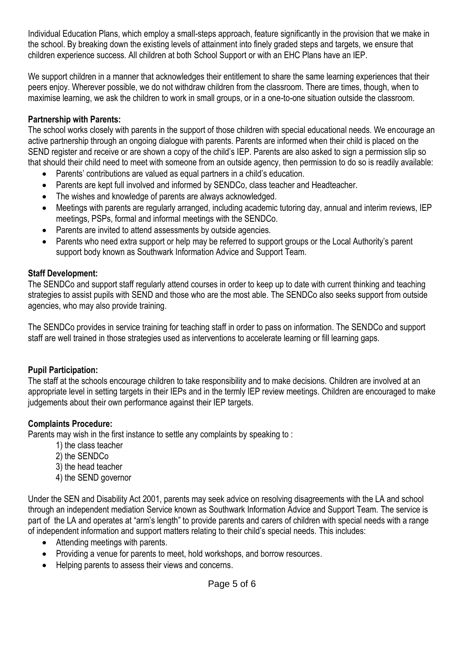Individual Education Plans, which employ a small-steps approach, feature significantly in the provision that we make in the school. By breaking down the existing levels of attainment into finely graded steps and targets, we ensure that children experience success. All children at both School Support or with an EHC Plans have an IEP.

We support children in a manner that acknowledges their entitlement to share the same learning experiences that their peers enjoy. Wherever possible, we do not withdraw children from the classroom. There are times, though, when to maximise learning, we ask the children to work in small groups, or in a one-to-one situation outside the classroom.

### **Partnership with Parents:**

The school works closely with parents in the support of those children with special educational needs. We encourage an active partnership through an ongoing dialogue with parents. Parents are informed when their child is placed on the SEND register and receive or are shown a copy of the child's IEP. Parents are also asked to sign a permission slip so that should their child need to meet with someone from an outside agency, then permission to do so is readily available:

- Parents' contributions are valued as equal partners in a child's education.
- Parents are kept full involved and informed by SENDCo, class teacher and Headteacher.
- The wishes and knowledge of parents are always acknowledged.
- Meetings with parents are regularly arranged, including academic tutoring day, annual and interim reviews, IEP meetings, PSPs, formal and informal meetings with the SENDCo.
- Parents are invited to attend assessments by outside agencies.
- Parents who need extra support or help may be referred to support groups or the Local Authority's parent support body known as Southwark Information Advice and Support Team.

#### **Staff Development:**

The SENDCo and support staff regularly attend courses in order to keep up to date with current thinking and teaching strategies to assist pupils with SEND and those who are the most able. The SENDCo also seeks support from outside agencies, who may also provide training.

The SENDCo provides in service training for teaching staff in order to pass on information. The SENDCo and support staff are well trained in those strategies used as interventions to accelerate learning or fill learning gaps.

#### **Pupil Participation:**

The staff at the schools encourage children to take responsibility and to make decisions. Children are involved at an appropriate level in setting targets in their IEPs and in the termly IEP review meetings. Children are encouraged to make judgements about their own performance against their IEP targets.

#### **Complaints Procedure:**

Parents may wish in the first instance to settle any complaints by speaking to :

- 1) the class teacher
- 2) the SENDCo
- 3) the head teacher
- 4) the SEND governor

Under the SEN and Disability Act 2001, parents may seek advice on resolving disagreements with the LA and school through an independent mediation Service known as Southwark Information Advice and Support Team. The service is part of the LA and operates at "arm's length" to provide parents and carers of children with special needs with a range of independent information and support matters relating to their child's special needs. This includes:

- Attending meetings with parents.
- Providing a venue for parents to meet, hold workshops, and borrow resources.
- Helping parents to assess their views and concerns.